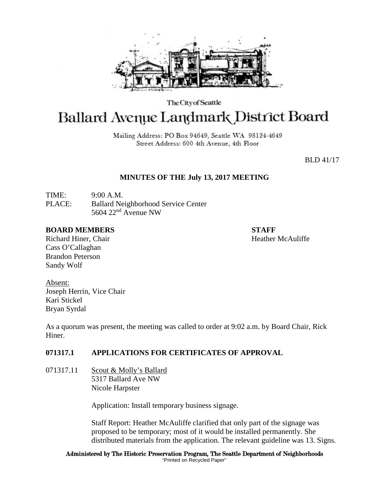

The City of Seattle

# **Ballard Avenue Landmark District Board**

Mailing Address: PO Box 94649, Seattle WA 98124-4649 Street Address: 600 4th Avenue, 4th Floor

BLD 41/17

## **MINUTES OF THE July 13, 2017 MEETING**

TIME: 9:00 A.M. PLACE: Ballard Neighborhood Service Center 5604 22nd Avenue NW

## **BOARD MEMBERS STAFF**

Richard Hiner, Chair **Heather McAuliffe Heather McAuliffe** Cass O'Callaghan Brandon Peterson Sandy Wolf

Absent: Joseph Herrin, Vice Chair Kari Stickel Bryan Syrdal

As a quorum was present, the meeting was called to order at 9:02 a.m. by Board Chair, Rick Hiner.

# **071317.1 APPLICATIONS FOR CERTIFICATES OF APPROVAL**

071317.11 Scout & Molly's Ballard 5317 Ballard Ave NW Nicole Harpster

Application: Install temporary business signage.

Staff Report: Heather McAuliffe clarified that only part of the signage was proposed to be temporary; most of it would be installed permanently. She distributed materials from the application. The relevant guideline was 13. Signs.

#### Administered by The Historic Preservation Program, The Seattle Department of Neighborhoods "Printed on Recycled Paper"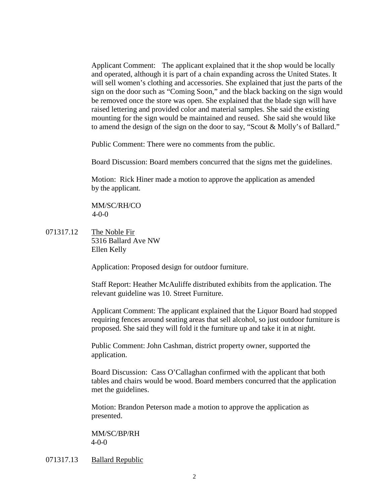Applicant Comment: The applicant explained that it the shop would be locally and operated, although it is part of a chain expanding across the United States. It will sell women's clothing and accessories. She explained that just the parts of the sign on the door such as "Coming Soon," and the black backing on the sign would be removed once the store was open. She explained that the blade sign will have raised lettering and provided color and material samples. She said the existing mounting for the sign would be maintained and reused. She said she would like to amend the design of the sign on the door to say, "Scout & Molly's of Ballard."

Public Comment: There were no comments from the public.

Board Discussion: Board members concurred that the signs met the guidelines.

Motion: Rick Hiner made a motion to approve the application as amended by the applicant.

MM/SC/RH/CO 4-0-0

071317.12 The Noble Fir 5316 Ballard Ave NW Ellen Kelly

Application: Proposed design for outdoor furniture.

Staff Report: Heather McAuliffe distributed exhibits from the application. The relevant guideline was 10. Street Furniture.

Applicant Comment: The applicant explained that the Liquor Board had stopped requiring fences around seating areas that sell alcohol, so just outdoor furniture is proposed. She said they will fold it the furniture up and take it in at night.

Public Comment: John Cashman, district property owner, supported the application.

Board Discussion: Cass O'Callaghan confirmed with the applicant that both tables and chairs would be wood. Board members concurred that the application met the guidelines.

Motion: Brandon Peterson made a motion to approve the application as presented.

MM/SC/BP/RH 4-0-0

071317.13 Ballard Republic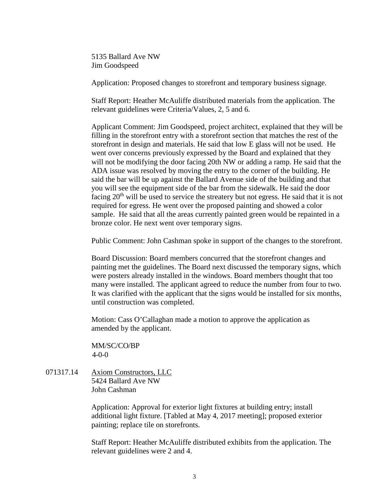5135 Ballard Ave NW Jim Goodspeed

Application: Proposed changes to storefront and temporary business signage.

Staff Report: Heather McAuliffe distributed materials from the application. The relevant guidelines were Criteria/Values, 2, 5 and 6.

Applicant Comment: Jim Goodspeed, project architect, explained that they will be filling in the storefront entry with a storefront section that matches the rest of the storefront in design and materials. He said that low E glass will not be used. He went over concerns previously expressed by the Board and explained that they will not be modifying the door facing 20th NW or adding a ramp. He said that the ADA issue was resolved by moving the entry to the corner of the building. He said the bar will be up against the Ballard Avenue side of the building and that you will see the equipment side of the bar from the sidewalk. He said the door facing 20<sup>th</sup> will be used to service the streatery but not egress. He said that it is not required for egress. He went over the proposed painting and showed a color sample. He said that all the areas currently painted green would be repainted in a bronze color. He next went over temporary signs.

Public Comment: John Cashman spoke in support of the changes to the storefront.

Board Discussion: Board members concurred that the storefront changes and painting met the guidelines. The Board next discussed the temporary signs, which were posters already installed in the windows. Board members thought that too many were installed. The applicant agreed to reduce the number from four to two. It was clarified with the applicant that the signs would be installed for six months, until construction was completed.

Motion: Cass O'Callaghan made a motion to approve the application as amended by the applicant.

MM/SC/CO/BP  $4 - 0 - 0$ 

071317.14 Axiom Constructors, LLC 5424 Ballard Ave NW John Cashman

> Application: Approval for exterior light fixtures at building entry; install additional light fixture. [Tabled at May 4, 2017 meeting]; proposed exterior painting; replace tile on storefronts.

Staff Report: Heather McAuliffe distributed exhibits from the application. The relevant guidelines were 2 and 4.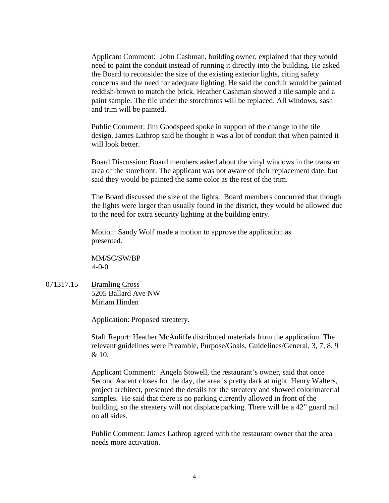Applicant Comment: John Cashman, building owner, explained that they would need to paint the conduit instead of running it directly into the building. He asked the Board to reconsider the size of the existing exterior lights, citing safety concerns and the need for adequate lighting. He said the conduit would be painted reddish-brown to match the brick. Heather Cashman showed a tile sample and a paint sample. The tile under the storefronts will be replaced. All windows, sash and trim will be painted.

Public Comment: Jim Goodspeed spoke in support of the change to the tile design. James Lathrop said he thought it was a lot of conduit that when painted it will look better.

Board Discussion: Board members asked about the vinyl windows in the transom area of the storefront. The applicant was not aware of their replacement date, but said they would be painted the same color as the rest of the trim.

The Board discussed the size of the lights. Board members concurred that though the lights were larger than usually found in the district, they would be allowed due to the need for extra security lighting at the building entry.

Motion: Sandy Wolf made a motion to approve the application as presented.

MM/SC/SW/BP 4-0-0

071317.15 Bramling Cross 5205 Ballard Ave NW Miriam Hinden

Application: Proposed streatery.

Staff Report: Heather McAuliffe distributed materials from the application. The relevant guidelines were Preamble, Purpose/Goals, Guidelines/General, 3, 7, 8, 9 & 10.

Applicant Comment: Angela Stowell, the restaurant's owner, said that once Second Ascent closes for the day, the area is pretty dark at night. Henry Walters, project architect, presented the details for the streatery and showed color/material samples. He said that there is no parking currently allowed in front of the building, so the streatery will not displace parking. There will be a 42" guard rail on all sides.

Public Comment: James Lathrop agreed with the restaurant owner that the area needs more activation.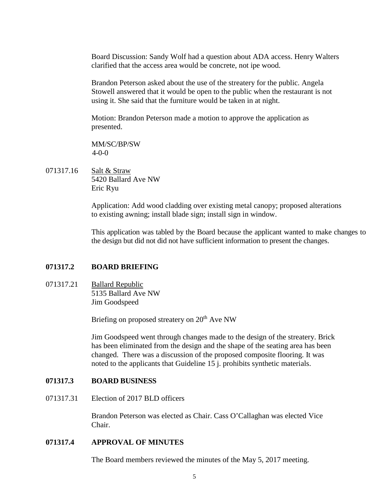Board Discussion: Sandy Wolf had a question about ADA access. Henry Walters clarified that the access area would be concrete, not ipe wood.

Brandon Peterson asked about the use of the streatery for the public. Angela Stowell answered that it would be open to the public when the restaurant is not using it. She said that the furniture would be taken in at night.

Motion: Brandon Peterson made a motion to approve the application as presented.

MM/SC/BP/SW 4-0-0

071317.16 Salt & Straw 5420 Ballard Ave NW Eric Ryu

> Application: Add wood cladding over existing metal canopy; proposed alterations to existing awning; install blade sign; install sign in window.

This application was tabled by the Board because the applicant wanted to make changes to the design but did not did not have sufficient information to present the changes.

## **071317.2 BOARD BRIEFING**

071317.21 Ballard Republic 5135 Ballard Ave NW Jim Goodspeed

Briefing on proposed streatery on 20<sup>th</sup> Ave NW

Jim Goodspeed went through changes made to the design of the streatery. Brick has been eliminated from the design and the shape of the seating area has been changed. There was a discussion of the proposed composite flooring. It was noted to the applicants that Guideline 15 j. prohibits synthetic materials.

## **071317.3 BOARD BUSINESS**

071317.31 Election of 2017 BLD officers

Brandon Peterson was elected as Chair. Cass O'Callaghan was elected Vice Chair.

## **071317.4 APPROVAL OF MINUTES**

The Board members reviewed the minutes of the May 5, 2017 meeting.